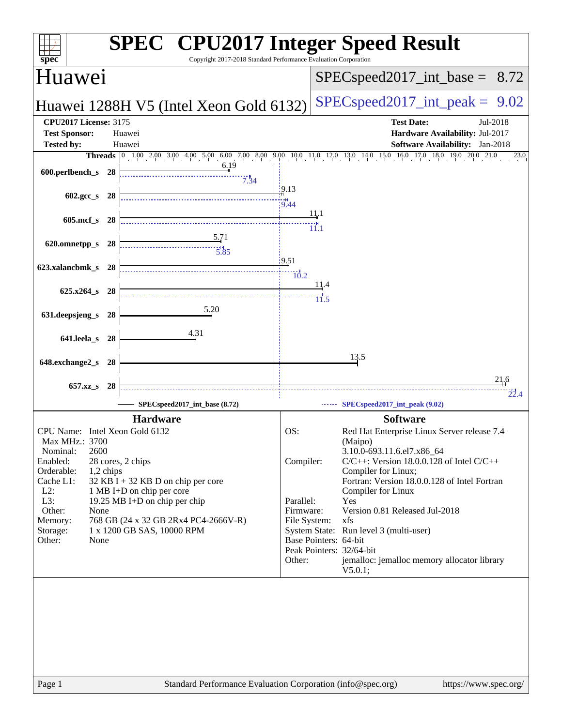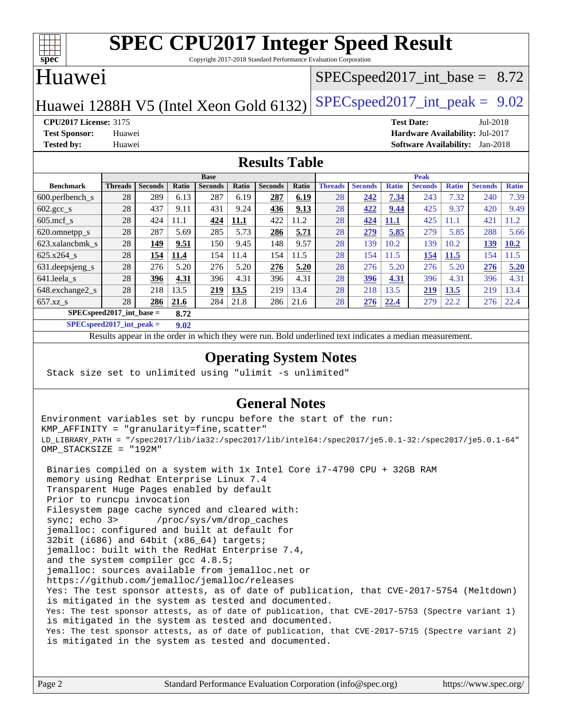

Copyright 2017-2018 Standard Performance Evaluation Corporation

## Huawei

### $SPECspeed2017\_int\_base = 8.72$

Huawei 1288H V5 (Intel Xeon Gold 6132) SPECspeed 2017\_int\_peak =  $9.02$ 

**[CPU2017 License:](http://www.spec.org/auto/cpu2017/Docs/result-fields.html#CPU2017License)** 3175 **[Test Date:](http://www.spec.org/auto/cpu2017/Docs/result-fields.html#TestDate)** Jul-2018 **[Test Sponsor:](http://www.spec.org/auto/cpu2017/Docs/result-fields.html#TestSponsor)** Huawei **[Hardware Availability:](http://www.spec.org/auto/cpu2017/Docs/result-fields.html#HardwareAvailability)** Jul-2017 **[Tested by:](http://www.spec.org/auto/cpu2017/Docs/result-fields.html#Testedby)** Huawei **[Software Availability:](http://www.spec.org/auto/cpu2017/Docs/result-fields.html#SoftwareAvailability)** Jan-2018

### **[Results Table](http://www.spec.org/auto/cpu2017/Docs/result-fields.html#ResultsTable)**

|                                    | <b>Base</b>    |                |       |                | <b>Peak</b> |                |       |                |                |              |                |              |                |              |
|------------------------------------|----------------|----------------|-------|----------------|-------------|----------------|-------|----------------|----------------|--------------|----------------|--------------|----------------|--------------|
| <b>Benchmark</b>                   | <b>Threads</b> | <b>Seconds</b> | Ratio | <b>Seconds</b> | Ratio       | <b>Seconds</b> | Ratio | <b>Threads</b> | <b>Seconds</b> | <b>Ratio</b> | <b>Seconds</b> | <b>Ratio</b> | <b>Seconds</b> | <b>Ratio</b> |
| $600.$ perlbench $_s$              | 28             | 289            | 6.13  | 287            | 6.19        | 287            | 6.19  | 28             | 242            | 7.34         | 243            | 7.32         | 240            | 7.39         |
| $602.\text{gcc}\_\text{s}$         | 28             | 437            | 9.11  | 431            | 9.24        | 436            | 9.13  | 28             | 422            | 9.44         | 425            | 9.37         | 420            | 9.49         |
| $605 \text{.mcf}$ s                | 28             | 424            | 11.1  | 424            | 11.1        | 422            | 11.2  | 28             | 424            | 11.1         | 425            | 1.1          | 421            | 1.2          |
| 620.omnetpp_s                      | 28             | 287            | 5.69  | 285            | 5.73        | 286            | 5.71  | 28             | 279            | 5.85         | 279            | 5.85         | 288            | 5.66         |
| 623.xalancbmk s                    | 28             | 149            | 9.51  | 150            | 9.45        | 148            | 9.57  | 28             | 139            | 10.2         | 139            | 10.2         | 139            | 10.2         |
| 625.x264 s                         | 28             | 154            | 11.4  | 154            | 11.4        | 154            | 11.5  | 28             | 154            | 11.5         | 154            | 11.5         | 154            | 11.5         |
| 631.deepsjeng_s                    | 28             | 276            | 5.20  | 276            | 5.20        | 276            | 5.20  | 28             | 276            | 5.20         | 276            | 5.20         | 276            | 5.20         |
| 641.leela s                        | 28             | 396            | 4.31  | 396            | 4.31        | 396            | 4.31  | 28             | 396            | 4.31         | 396            | 4.31         | 396            | 4.31         |
| 648.exchange2_s                    | 28             | 218            | 13.5  | 219            | 13.5        | 219            | 13.4  | 28             | 218            | 13.5         | 219            | <u>13.5</u>  | 219            | 13.4         |
| $657.xz$ s                         | 28             | 286            | 21.6  | 284            | 21.8        | 286            | 21.6  | 28             | 276            | 22.4         | 279            | 22.2         | 276            | 22.4         |
| $SPECspeed2017$ int base =<br>8.72 |                |                |       |                |             |                |       |                |                |              |                |              |                |              |

**[SPECspeed2017\\_int\\_peak =](http://www.spec.org/auto/cpu2017/Docs/result-fields.html#SPECspeed2017intpeak) 9.02**

Results appear in the [order in which they were run.](http://www.spec.org/auto/cpu2017/Docs/result-fields.html#RunOrder) Bold underlined text [indicates a median measurement](http://www.spec.org/auto/cpu2017/Docs/result-fields.html#Median).

### **[Operating System Notes](http://www.spec.org/auto/cpu2017/Docs/result-fields.html#OperatingSystemNotes)**

Stack size set to unlimited using "ulimit -s unlimited"

### **[General Notes](http://www.spec.org/auto/cpu2017/Docs/result-fields.html#GeneralNotes)**

Environment variables set by runcpu before the start of the run: KMP\_AFFINITY = "granularity=fine,scatter" LD\_LIBRARY\_PATH = "/spec2017/lib/ia32:/spec2017/lib/intel64:/spec2017/je5.0.1-32:/spec2017/je5.0.1-64" OMP\_STACKSIZE = "192M"

 Binaries compiled on a system with 1x Intel Core i7-4790 CPU + 32GB RAM memory using Redhat Enterprise Linux 7.4 Transparent Huge Pages enabled by default Prior to runcpu invocation Filesystem page cache synced and cleared with: sync; echo 3> /proc/sys/vm/drop\_caches jemalloc: configured and built at default for 32bit (i686) and 64bit (x86\_64) targets; jemalloc: built with the RedHat Enterprise 7.4, and the system compiler gcc 4.8.5; jemalloc: sources available from jemalloc.net or <https://github.com/jemalloc/jemalloc/releases> Yes: The test sponsor attests, as of date of publication, that CVE-2017-5754 (Meltdown) is mitigated in the system as tested and documented. Yes: The test sponsor attests, as of date of publication, that CVE-2017-5753 (Spectre variant 1) is mitigated in the system as tested and documented. Yes: The test sponsor attests, as of date of publication, that CVE-2017-5715 (Spectre variant 2) is mitigated in the system as tested and documented.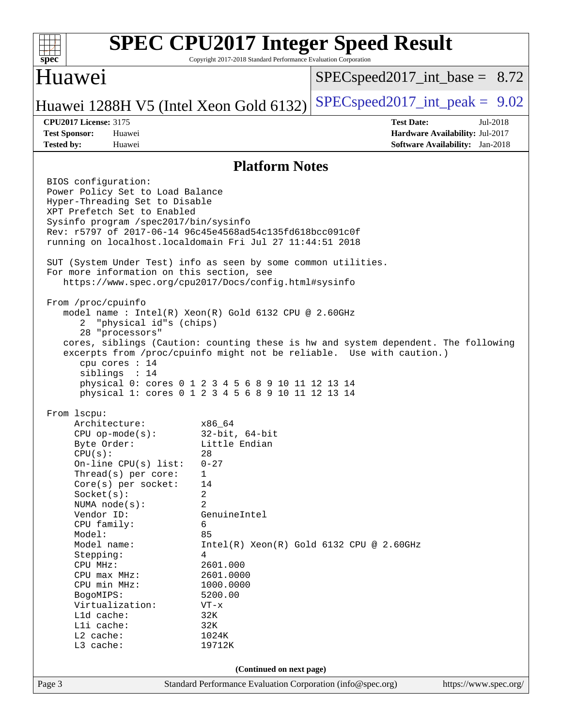

Copyright 2017-2018 Standard Performance Evaluation Corporation

### Huawei

 $SPECspeed2017\_int\_base = 8.72$ 

## Huawei 1288H V5 (Intel Xeon Gold 6132) SPECspeed 2017\_int\_peak =  $9.02$

**[CPU2017 License:](http://www.spec.org/auto/cpu2017/Docs/result-fields.html#CPU2017License)** 3175 **[Test Date:](http://www.spec.org/auto/cpu2017/Docs/result-fields.html#TestDate)** Jul-2018 **[Test Sponsor:](http://www.spec.org/auto/cpu2017/Docs/result-fields.html#TestSponsor)** Huawei **[Hardware Availability:](http://www.spec.org/auto/cpu2017/Docs/result-fields.html#HardwareAvailability)** Jul-2017 **[Tested by:](http://www.spec.org/auto/cpu2017/Docs/result-fields.html#Testedby)** Huawei **[Software Availability:](http://www.spec.org/auto/cpu2017/Docs/result-fields.html#SoftwareAvailability)** Jan-2018

### **[Platform Notes](http://www.spec.org/auto/cpu2017/Docs/result-fields.html#PlatformNotes)**

Page 3 Standard Performance Evaluation Corporation [\(info@spec.org\)](mailto:info@spec.org) <https://www.spec.org/> BIOS configuration: Power Policy Set to Load Balance Hyper-Threading Set to Disable XPT Prefetch Set to Enabled Sysinfo program /spec2017/bin/sysinfo Rev: r5797 of 2017-06-14 96c45e4568ad54c135fd618bcc091c0f running on localhost.localdomain Fri Jul 27 11:44:51 2018 SUT (System Under Test) info as seen by some common utilities. For more information on this section, see <https://www.spec.org/cpu2017/Docs/config.html#sysinfo> From /proc/cpuinfo model name : Intel(R) Xeon(R) Gold 6132 CPU @ 2.60GHz 2 "physical id"s (chips) 28 "processors" cores, siblings (Caution: counting these is hw and system dependent. The following excerpts from /proc/cpuinfo might not be reliable. Use with caution.) cpu cores : 14 siblings : 14 physical 0: cores 0 1 2 3 4 5 6 8 9 10 11 12 13 14 physical 1: cores 0 1 2 3 4 5 6 8 9 10 11 12 13 14 From lscpu: Architecture: x86\_64 CPU op-mode(s): 32-bit, 64-bit Byte Order: Little Endian  $CPU(s):$  28 On-line CPU(s) list: 0-27 Thread(s) per core: 1 Core(s) per socket: 14 Socket(s): 2 NUMA node(s): 2 Vendor ID: GenuineIntel CPU family: 6 Model: 85 Model name:  $Intel(R)$  Xeon(R) Gold 6132 CPU @ 2.60GHz Stepping: 4 CPU MHz: 2601.000 CPU max MHz: 2601.0000 CPU min MHz: 1000.0000 BogoMIPS: 5200.00 Virtualization: VT-x L1d cache: 32K<br>
L1i cache: 32K  $L1i$  cache: L2 cache: 1024K L3 cache: 19712K **(Continued on next page)**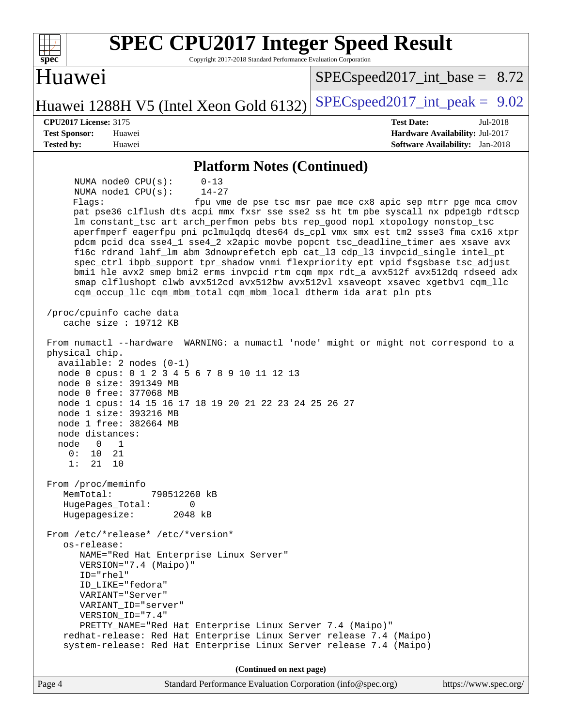| <b>SPEC CPU2017 Integer Speed Result</b>                                                                                                                                                                                                                                                                                                                                                                                                                                                                                                                                                                                                                                                                                                                                                                                                            |                                                                                                            |
|-----------------------------------------------------------------------------------------------------------------------------------------------------------------------------------------------------------------------------------------------------------------------------------------------------------------------------------------------------------------------------------------------------------------------------------------------------------------------------------------------------------------------------------------------------------------------------------------------------------------------------------------------------------------------------------------------------------------------------------------------------------------------------------------------------------------------------------------------------|------------------------------------------------------------------------------------------------------------|
| Spec<br>Copyright 2017-2018 Standard Performance Evaluation Corporation<br>Huawei                                                                                                                                                                                                                                                                                                                                                                                                                                                                                                                                                                                                                                                                                                                                                                   | $SPEC speed2017\_int\_base = 8.72$                                                                         |
| Huawei 1288H V5 (Intel Xeon Gold 6132)                                                                                                                                                                                                                                                                                                                                                                                                                                                                                                                                                                                                                                                                                                                                                                                                              | $SPEC speed2017\_int\_peak = 9.02$                                                                         |
| <b>CPU2017 License: 3175</b><br><b>Test Sponsor:</b><br>Huawei<br><b>Tested by:</b><br>Huawei                                                                                                                                                                                                                                                                                                                                                                                                                                                                                                                                                                                                                                                                                                                                                       | <b>Test Date:</b><br>Jul-2018<br>Hardware Availability: Jul-2017<br><b>Software Availability:</b> Jan-2018 |
| <b>Platform Notes (Continued)</b>                                                                                                                                                                                                                                                                                                                                                                                                                                                                                                                                                                                                                                                                                                                                                                                                                   |                                                                                                            |
| NUMA node0 CPU(s):<br>$0 - 13$<br>$14 - 27$<br>NUMA nodel CPU(s):<br>Flags:<br>pat pse36 clflush dts acpi mmx fxsr sse sse2 ss ht tm pbe syscall nx pdpe1gb rdtscp<br>lm constant_tsc art arch_perfmon pebs bts rep_good nopl xtopology nonstop_tsc<br>aperfmperf eagerfpu pni pclmulqdq dtes64 ds_cpl vmx smx est tm2 ssse3 fma cx16 xtpr<br>pdcm pcid dca sse4_1 sse4_2 x2apic movbe popcnt tsc_deadline_timer aes xsave avx<br>f16c rdrand lahf_lm abm 3dnowprefetch epb cat_13 cdp_13 invpcid_single intel_pt<br>spec_ctrl ibpb_support tpr_shadow vnmi flexpriority ept vpid fsgsbase tsc_adjust<br>bmil hle avx2 smep bmi2 erms invpcid rtm cqm mpx rdt_a avx512f avx512dq rdseed adx<br>smap clflushopt clwb avx512cd avx512bw avx512vl xsaveopt xsavec xgetbvl cqm_llc<br>cqm_occup_llc cqm_mbm_total cqm_mbm_local dtherm ida arat pln pts | fpu vme de pse tsc msr pae mce cx8 apic sep mtrr pge mca cmov                                              |
| /proc/cpuinfo cache data<br>cache size : 19712 KB                                                                                                                                                                                                                                                                                                                                                                                                                                                                                                                                                                                                                                                                                                                                                                                                   |                                                                                                            |
| From numactl --hardware WARNING: a numactl 'node' might or might not correspond to a<br>physical chip.<br>$available: 2 nodes (0-1)$<br>node 0 cpus: 0 1 2 3 4 5 6 7 8 9 10 11 12 13<br>node 0 size: 391349 MB<br>node 0 free: 377068 MB<br>node 1 cpus: 14 15 16 17 18 19 20 21 22 23 24 25 26 27<br>node 1 size: 393216 MB<br>node 1 free: 382664 MB<br>node distances:<br>1<br>node<br>0<br>0:<br>10<br>21<br>1:<br>21<br>10                                                                                                                                                                                                                                                                                                                                                                                                                     |                                                                                                            |
| From /proc/meminfo<br>MemTotal:<br>790512260 kB<br>0<br>HugePages_Total:<br>Hugepagesize:<br>2048 kB                                                                                                                                                                                                                                                                                                                                                                                                                                                                                                                                                                                                                                                                                                                                                |                                                                                                            |
| From /etc/*release* /etc/*version*<br>os-release:<br>NAME="Red Hat Enterprise Linux Server"<br>VERSION="7.4 (Maipo)"<br>$ID="rhe1"$<br>ID_LIKE="fedora"<br>VARIANT="Server"<br>VARIANT_ID="server"<br>VERSION_ID="7.4"<br>PRETTY_NAME="Red Hat Enterprise Linux Server 7.4 (Maipo)"<br>redhat-release: Red Hat Enterprise Linux Server release 7.4 (Maipo)<br>system-release: Red Hat Enterprise Linux Server release 7.4 (Maipo)                                                                                                                                                                                                                                                                                                                                                                                                                   |                                                                                                            |
| (Continued on next page)                                                                                                                                                                                                                                                                                                                                                                                                                                                                                                                                                                                                                                                                                                                                                                                                                            |                                                                                                            |
| Standard Performance Evaluation Corporation (info@spec.org)<br>Page 4                                                                                                                                                                                                                                                                                                                                                                                                                                                                                                                                                                                                                                                                                                                                                                               | https://www.spec.org/                                                                                      |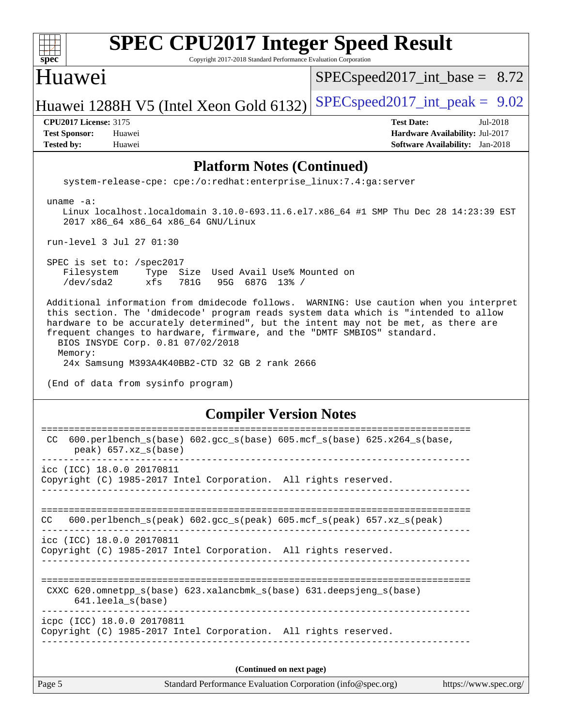| $spec^*$             |                              | <b>SPEC CPU2017 Integer Speed Result</b><br>Copyright 2017-2018 Standard Performance Evaluation Corporation |                                        |  |
|----------------------|------------------------------|-------------------------------------------------------------------------------------------------------------|----------------------------------------|--|
|                      | Huawei                       |                                                                                                             | $SPEC speed2017\_int\_base = 8.72$     |  |
|                      |                              | Huawei 1288H V5 (Intel Xeon Gold 6132)                                                                      | $SPEC speed2017\_int\_peak = 9.02$     |  |
|                      | <b>CPU2017 License: 3175</b> |                                                                                                             | <b>Test Date:</b><br>Jul-2018          |  |
| <b>Test Sponsor:</b> |                              | Huawei                                                                                                      | Hardware Availability: Jul-2017        |  |
| <b>Tested by:</b>    |                              | Huawei                                                                                                      | <b>Software Availability:</b> Jan-2018 |  |

#### **[Platform Notes \(Continued\)](http://www.spec.org/auto/cpu2017/Docs/result-fields.html#PlatformNotes)**

system-release-cpe: cpe:/o:redhat:enterprise\_linux:7.4:ga:server

uname -a:

 Linux localhost.localdomain 3.10.0-693.11.6.el7.x86\_64 #1 SMP Thu Dec 28 14:23:39 EST 2017 x86\_64 x86\_64 x86\_64 GNU/Linux

run-level 3 Jul 27 01:30

 SPEC is set to: /spec2017 Filesystem Type Size Used Avail Use% Mounted on /dev/sda2 xfs 781G 95G 687G 13% /

 Additional information from dmidecode follows. WARNING: Use caution when you interpret this section. The 'dmidecode' program reads system data which is "intended to allow hardware to be accurately determined", but the intent may not be met, as there are frequent changes to hardware, firmware, and the "DMTF SMBIOS" standard. BIOS INSYDE Corp. 0.81 07/02/2018 Memory: 24x Samsung M393A4K40BB2-CTD 32 GB 2 rank 2666

(End of data from sysinfo program)

#### **[Compiler Version Notes](http://www.spec.org/auto/cpu2017/Docs/result-fields.html#CompilerVersionNotes)**

| icpc (ICC) 18.0.0 20170811<br>Copyright (C) 1985-2017 Intel Corporation. All rights reserved.<br>(Continued on next page) |  |
|---------------------------------------------------------------------------------------------------------------------------|--|
|                                                                                                                           |  |
|                                                                                                                           |  |
| CXXC 620.omnetpp $s(base)$ 623.xalancbmk $s(base)$ 631.deepsjeng $s(base)$<br>641.leela s(base)                           |  |
| icc (ICC) 18.0.0 20170811<br>Copyright (C) 1985-2017 Intel Corporation. All rights reserved.                              |  |
| $600. perlbench_s (peak) 602. gcc_s (peak) 605. mcf_s (peak) 657. xz_s (peak)$<br>CC.                                     |  |
| icc (ICC) 18.0.0 20170811<br>Copyright (C) 1985-2017 Intel Corporation. All rights reserved.                              |  |
| 600.perlbench_s(base) 602.gcc_s(base) 605.mcf_s(base) 625.x264_s(base,<br>CC.<br>$peak)$ 657.xz $s(base)$                 |  |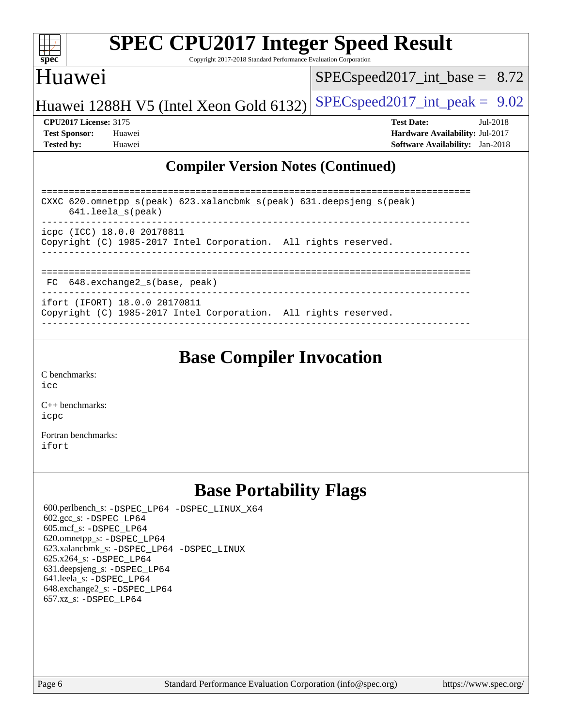

Copyright 2017-2018 Standard Performance Evaluation Corporation

### Huawei

[SPECspeed2017\\_int\\_base =](http://www.spec.org/auto/cpu2017/Docs/result-fields.html#SPECspeed2017intbase) 8.72

Huawei 1288H V5 (Intel Xeon Gold 6132) [SPECspeed2017\\_int\\_peak =](http://www.spec.org/auto/cpu2017/Docs/result-fields.html#SPECspeed2017intpeak)  $9.02$ 

**[CPU2017 License:](http://www.spec.org/auto/cpu2017/Docs/result-fields.html#CPU2017License)** 3175 **[Test Date:](http://www.spec.org/auto/cpu2017/Docs/result-fields.html#TestDate)** Jul-2018 **[Test Sponsor:](http://www.spec.org/auto/cpu2017/Docs/result-fields.html#TestSponsor)** Huawei **[Hardware Availability:](http://www.spec.org/auto/cpu2017/Docs/result-fields.html#HardwareAvailability)** Jul-2017 **[Tested by:](http://www.spec.org/auto/cpu2017/Docs/result-fields.html#Testedby)** Huawei **[Software Availability:](http://www.spec.org/auto/cpu2017/Docs/result-fields.html#SoftwareAvailability)** Jan-2018

### **[Compiler Version Notes \(Continued\)](http://www.spec.org/auto/cpu2017/Docs/result-fields.html#CompilerVersionNotes)**

| CXXC $620.\text{omnetpp_s}(\text{peak})$ $623.\text{xalancbmk_s}(\text{peak})$ $631.\text{deepsjeng_s}(\text{peak})$<br>$641.$ leela $s$ (peak)<br>__________________________ |
|-------------------------------------------------------------------------------------------------------------------------------------------------------------------------------|
| icpc (ICC) 18.0.0 20170811<br>Copyright (C) 1985-2017 Intel Corporation. All rights reserved.                                                                                 |
| FC 648.exchange2 s(base, peak)                                                                                                                                                |
| ifort (IFORT) 18.0.0 20170811<br>Copyright (C) 1985-2017 Intel Corporation. All rights reserved.                                                                              |

------------------------------------------------------------------------------

## **[Base Compiler Invocation](http://www.spec.org/auto/cpu2017/Docs/result-fields.html#BaseCompilerInvocation)**

[C benchmarks](http://www.spec.org/auto/cpu2017/Docs/result-fields.html#Cbenchmarks): [icc](http://www.spec.org/cpu2017/results/res2018q3/cpu2017-20180731-08025.flags.html#user_CCbase_intel_icc_18.0_66fc1ee009f7361af1fbd72ca7dcefbb700085f36577c54f309893dd4ec40d12360134090235512931783d35fd58c0460139e722d5067c5574d8eaf2b3e37e92)

[C++ benchmarks:](http://www.spec.org/auto/cpu2017/Docs/result-fields.html#CXXbenchmarks) [icpc](http://www.spec.org/cpu2017/results/res2018q3/cpu2017-20180731-08025.flags.html#user_CXXbase_intel_icpc_18.0_c510b6838c7f56d33e37e94d029a35b4a7bccf4766a728ee175e80a419847e808290a9b78be685c44ab727ea267ec2f070ec5dc83b407c0218cded6866a35d07)

[Fortran benchmarks](http://www.spec.org/auto/cpu2017/Docs/result-fields.html#Fortranbenchmarks): [ifort](http://www.spec.org/cpu2017/results/res2018q3/cpu2017-20180731-08025.flags.html#user_FCbase_intel_ifort_18.0_8111460550e3ca792625aed983ce982f94888b8b503583aa7ba2b8303487b4d8a21a13e7191a45c5fd58ff318f48f9492884d4413fa793fd88dd292cad7027ca)

## **[Base Portability Flags](http://www.spec.org/auto/cpu2017/Docs/result-fields.html#BasePortabilityFlags)**

 600.perlbench\_s: [-DSPEC\\_LP64](http://www.spec.org/cpu2017/results/res2018q3/cpu2017-20180731-08025.flags.html#b600.perlbench_s_basePORTABILITY_DSPEC_LP64) [-DSPEC\\_LINUX\\_X64](http://www.spec.org/cpu2017/results/res2018q3/cpu2017-20180731-08025.flags.html#b600.perlbench_s_baseCPORTABILITY_DSPEC_LINUX_X64) 602.gcc\_s: [-DSPEC\\_LP64](http://www.spec.org/cpu2017/results/res2018q3/cpu2017-20180731-08025.flags.html#suite_basePORTABILITY602_gcc_s_DSPEC_LP64) 605.mcf\_s: [-DSPEC\\_LP64](http://www.spec.org/cpu2017/results/res2018q3/cpu2017-20180731-08025.flags.html#suite_basePORTABILITY605_mcf_s_DSPEC_LP64) 620.omnetpp\_s: [-DSPEC\\_LP64](http://www.spec.org/cpu2017/results/res2018q3/cpu2017-20180731-08025.flags.html#suite_basePORTABILITY620_omnetpp_s_DSPEC_LP64) 623.xalancbmk\_s: [-DSPEC\\_LP64](http://www.spec.org/cpu2017/results/res2018q3/cpu2017-20180731-08025.flags.html#suite_basePORTABILITY623_xalancbmk_s_DSPEC_LP64) [-DSPEC\\_LINUX](http://www.spec.org/cpu2017/results/res2018q3/cpu2017-20180731-08025.flags.html#b623.xalancbmk_s_baseCXXPORTABILITY_DSPEC_LINUX) 625.x264\_s: [-DSPEC\\_LP64](http://www.spec.org/cpu2017/results/res2018q3/cpu2017-20180731-08025.flags.html#suite_basePORTABILITY625_x264_s_DSPEC_LP64) 631.deepsjeng\_s: [-DSPEC\\_LP64](http://www.spec.org/cpu2017/results/res2018q3/cpu2017-20180731-08025.flags.html#suite_basePORTABILITY631_deepsjeng_s_DSPEC_LP64) 641.leela\_s: [-DSPEC\\_LP64](http://www.spec.org/cpu2017/results/res2018q3/cpu2017-20180731-08025.flags.html#suite_basePORTABILITY641_leela_s_DSPEC_LP64) 648.exchange2\_s: [-DSPEC\\_LP64](http://www.spec.org/cpu2017/results/res2018q3/cpu2017-20180731-08025.flags.html#suite_basePORTABILITY648_exchange2_s_DSPEC_LP64) 657.xz\_s: [-DSPEC\\_LP64](http://www.spec.org/cpu2017/results/res2018q3/cpu2017-20180731-08025.flags.html#suite_basePORTABILITY657_xz_s_DSPEC_LP64)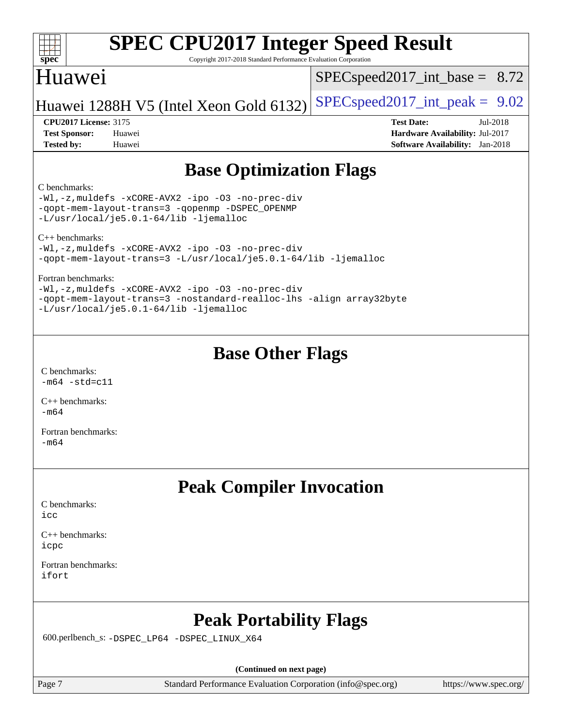#### $+\ +$ **[spec](http://www.spec.org/)**

# **[SPEC CPU2017 Integer Speed Result](http://www.spec.org/auto/cpu2017/Docs/result-fields.html#SPECCPU2017IntegerSpeedResult)**

Copyright 2017-2018 Standard Performance Evaluation Corporation

## Huawei

 $SPECspeed2017\_int\_base = 8.72$ 

Huawei 1288H V5 (Intel Xeon Gold 6132) [SPECspeed2017\\_int\\_peak =](http://www.spec.org/auto/cpu2017/Docs/result-fields.html#SPECspeed2017intpeak)  $9.02$ 

**[Tested by:](http://www.spec.org/auto/cpu2017/Docs/result-fields.html#Testedby)** Huawei **[Software Availability:](http://www.spec.org/auto/cpu2017/Docs/result-fields.html#SoftwareAvailability)** Jan-2018

**[CPU2017 License:](http://www.spec.org/auto/cpu2017/Docs/result-fields.html#CPU2017License)** 3175 **[Test Date:](http://www.spec.org/auto/cpu2017/Docs/result-fields.html#TestDate)** Jul-2018 **[Test Sponsor:](http://www.spec.org/auto/cpu2017/Docs/result-fields.html#TestSponsor)** Huawei **[Hardware Availability:](http://www.spec.org/auto/cpu2017/Docs/result-fields.html#HardwareAvailability)** Jul-2017

## **[Base Optimization Flags](http://www.spec.org/auto/cpu2017/Docs/result-fields.html#BaseOptimizationFlags)**

#### [C benchmarks](http://www.spec.org/auto/cpu2017/Docs/result-fields.html#Cbenchmarks):

[-Wl,-z,muldefs](http://www.spec.org/cpu2017/results/res2018q3/cpu2017-20180731-08025.flags.html#user_CCbase_link_force_multiple1_b4cbdb97b34bdee9ceefcfe54f4c8ea74255f0b02a4b23e853cdb0e18eb4525ac79b5a88067c842dd0ee6996c24547a27a4b99331201badda8798ef8a743f577) [-xCORE-AVX2](http://www.spec.org/cpu2017/results/res2018q3/cpu2017-20180731-08025.flags.html#user_CCbase_f-xCORE-AVX2) [-ipo](http://www.spec.org/cpu2017/results/res2018q3/cpu2017-20180731-08025.flags.html#user_CCbase_f-ipo) [-O3](http://www.spec.org/cpu2017/results/res2018q3/cpu2017-20180731-08025.flags.html#user_CCbase_f-O3) [-no-prec-div](http://www.spec.org/cpu2017/results/res2018q3/cpu2017-20180731-08025.flags.html#user_CCbase_f-no-prec-div) [-qopt-mem-layout-trans=3](http://www.spec.org/cpu2017/results/res2018q3/cpu2017-20180731-08025.flags.html#user_CCbase_f-qopt-mem-layout-trans_de80db37974c74b1f0e20d883f0b675c88c3b01e9d123adea9b28688d64333345fb62bc4a798493513fdb68f60282f9a726aa07f478b2f7113531aecce732043) [-qopenmp](http://www.spec.org/cpu2017/results/res2018q3/cpu2017-20180731-08025.flags.html#user_CCbase_qopenmp_16be0c44f24f464004c6784a7acb94aca937f053568ce72f94b139a11c7c168634a55f6653758ddd83bcf7b8463e8028bb0b48b77bcddc6b78d5d95bb1df2967) [-DSPEC\\_OPENMP](http://www.spec.org/cpu2017/results/res2018q3/cpu2017-20180731-08025.flags.html#suite_CCbase_DSPEC_OPENMP) [-L/usr/local/je5.0.1-64/lib](http://www.spec.org/cpu2017/results/res2018q3/cpu2017-20180731-08025.flags.html#user_CCbase_jemalloc_link_path64_4b10a636b7bce113509b17f3bd0d6226c5fb2346b9178c2d0232c14f04ab830f976640479e5c33dc2bcbbdad86ecfb6634cbbd4418746f06f368b512fced5394) [-ljemalloc](http://www.spec.org/cpu2017/results/res2018q3/cpu2017-20180731-08025.flags.html#user_CCbase_jemalloc_link_lib_d1249b907c500fa1c0672f44f562e3d0f79738ae9e3c4a9c376d49f265a04b9c99b167ecedbf6711b3085be911c67ff61f150a17b3472be731631ba4d0471706)

[C++ benchmarks](http://www.spec.org/auto/cpu2017/Docs/result-fields.html#CXXbenchmarks):

[-Wl,-z,muldefs](http://www.spec.org/cpu2017/results/res2018q3/cpu2017-20180731-08025.flags.html#user_CXXbase_link_force_multiple1_b4cbdb97b34bdee9ceefcfe54f4c8ea74255f0b02a4b23e853cdb0e18eb4525ac79b5a88067c842dd0ee6996c24547a27a4b99331201badda8798ef8a743f577) [-xCORE-AVX2](http://www.spec.org/cpu2017/results/res2018q3/cpu2017-20180731-08025.flags.html#user_CXXbase_f-xCORE-AVX2) [-ipo](http://www.spec.org/cpu2017/results/res2018q3/cpu2017-20180731-08025.flags.html#user_CXXbase_f-ipo) [-O3](http://www.spec.org/cpu2017/results/res2018q3/cpu2017-20180731-08025.flags.html#user_CXXbase_f-O3) [-no-prec-div](http://www.spec.org/cpu2017/results/res2018q3/cpu2017-20180731-08025.flags.html#user_CXXbase_f-no-prec-div) [-qopt-mem-layout-trans=3](http://www.spec.org/cpu2017/results/res2018q3/cpu2017-20180731-08025.flags.html#user_CXXbase_f-qopt-mem-layout-trans_de80db37974c74b1f0e20d883f0b675c88c3b01e9d123adea9b28688d64333345fb62bc4a798493513fdb68f60282f9a726aa07f478b2f7113531aecce732043) [-L/usr/local/je5.0.1-64/lib](http://www.spec.org/cpu2017/results/res2018q3/cpu2017-20180731-08025.flags.html#user_CXXbase_jemalloc_link_path64_4b10a636b7bce113509b17f3bd0d6226c5fb2346b9178c2d0232c14f04ab830f976640479e5c33dc2bcbbdad86ecfb6634cbbd4418746f06f368b512fced5394) [-ljemalloc](http://www.spec.org/cpu2017/results/res2018q3/cpu2017-20180731-08025.flags.html#user_CXXbase_jemalloc_link_lib_d1249b907c500fa1c0672f44f562e3d0f79738ae9e3c4a9c376d49f265a04b9c99b167ecedbf6711b3085be911c67ff61f150a17b3472be731631ba4d0471706)

[Fortran benchmarks:](http://www.spec.org/auto/cpu2017/Docs/result-fields.html#Fortranbenchmarks)

[-Wl,-z,muldefs](http://www.spec.org/cpu2017/results/res2018q3/cpu2017-20180731-08025.flags.html#user_FCbase_link_force_multiple1_b4cbdb97b34bdee9ceefcfe54f4c8ea74255f0b02a4b23e853cdb0e18eb4525ac79b5a88067c842dd0ee6996c24547a27a4b99331201badda8798ef8a743f577) [-xCORE-AVX2](http://www.spec.org/cpu2017/results/res2018q3/cpu2017-20180731-08025.flags.html#user_FCbase_f-xCORE-AVX2) [-ipo](http://www.spec.org/cpu2017/results/res2018q3/cpu2017-20180731-08025.flags.html#user_FCbase_f-ipo) [-O3](http://www.spec.org/cpu2017/results/res2018q3/cpu2017-20180731-08025.flags.html#user_FCbase_f-O3) [-no-prec-div](http://www.spec.org/cpu2017/results/res2018q3/cpu2017-20180731-08025.flags.html#user_FCbase_f-no-prec-div) [-qopt-mem-layout-trans=3](http://www.spec.org/cpu2017/results/res2018q3/cpu2017-20180731-08025.flags.html#user_FCbase_f-qopt-mem-layout-trans_de80db37974c74b1f0e20d883f0b675c88c3b01e9d123adea9b28688d64333345fb62bc4a798493513fdb68f60282f9a726aa07f478b2f7113531aecce732043) [-nostandard-realloc-lhs](http://www.spec.org/cpu2017/results/res2018q3/cpu2017-20180731-08025.flags.html#user_FCbase_f_2003_std_realloc_82b4557e90729c0f113870c07e44d33d6f5a304b4f63d4c15d2d0f1fab99f5daaed73bdb9275d9ae411527f28b936061aa8b9c8f2d63842963b95c9dd6426b8a) [-align array32byte](http://www.spec.org/cpu2017/results/res2018q3/cpu2017-20180731-08025.flags.html#user_FCbase_align_array32byte_b982fe038af199962ba9a80c053b8342c548c85b40b8e86eb3cc33dee0d7986a4af373ac2d51c3f7cf710a18d62fdce2948f201cd044323541f22fc0fffc51b6) [-L/usr/local/je5.0.1-64/lib](http://www.spec.org/cpu2017/results/res2018q3/cpu2017-20180731-08025.flags.html#user_FCbase_jemalloc_link_path64_4b10a636b7bce113509b17f3bd0d6226c5fb2346b9178c2d0232c14f04ab830f976640479e5c33dc2bcbbdad86ecfb6634cbbd4418746f06f368b512fced5394) [-ljemalloc](http://www.spec.org/cpu2017/results/res2018q3/cpu2017-20180731-08025.flags.html#user_FCbase_jemalloc_link_lib_d1249b907c500fa1c0672f44f562e3d0f79738ae9e3c4a9c376d49f265a04b9c99b167ecedbf6711b3085be911c67ff61f150a17b3472be731631ba4d0471706)

## **[Base Other Flags](http://www.spec.org/auto/cpu2017/Docs/result-fields.html#BaseOtherFlags)**

[C benchmarks](http://www.spec.org/auto/cpu2017/Docs/result-fields.html#Cbenchmarks):  $-m64$   $-std=cl1$ 

[C++ benchmarks:](http://www.spec.org/auto/cpu2017/Docs/result-fields.html#CXXbenchmarks)  $-m64$ 

[Fortran benchmarks](http://www.spec.org/auto/cpu2017/Docs/result-fields.html#Fortranbenchmarks): [-m64](http://www.spec.org/cpu2017/results/res2018q3/cpu2017-20180731-08025.flags.html#user_FCbase_intel_intel64_18.0_af43caccfc8ded86e7699f2159af6efc7655f51387b94da716254467f3c01020a5059329e2569e4053f409e7c9202a7efc638f7a6d1ffb3f52dea4a3e31d82ab)

## **[Peak Compiler Invocation](http://www.spec.org/auto/cpu2017/Docs/result-fields.html#PeakCompilerInvocation)**

[C benchmarks](http://www.spec.org/auto/cpu2017/Docs/result-fields.html#Cbenchmarks): [icc](http://www.spec.org/cpu2017/results/res2018q3/cpu2017-20180731-08025.flags.html#user_CCpeak_intel_icc_18.0_66fc1ee009f7361af1fbd72ca7dcefbb700085f36577c54f309893dd4ec40d12360134090235512931783d35fd58c0460139e722d5067c5574d8eaf2b3e37e92)

[C++ benchmarks:](http://www.spec.org/auto/cpu2017/Docs/result-fields.html#CXXbenchmarks) [icpc](http://www.spec.org/cpu2017/results/res2018q3/cpu2017-20180731-08025.flags.html#user_CXXpeak_intel_icpc_18.0_c510b6838c7f56d33e37e94d029a35b4a7bccf4766a728ee175e80a419847e808290a9b78be685c44ab727ea267ec2f070ec5dc83b407c0218cded6866a35d07)

[Fortran benchmarks](http://www.spec.org/auto/cpu2017/Docs/result-fields.html#Fortranbenchmarks): [ifort](http://www.spec.org/cpu2017/results/res2018q3/cpu2017-20180731-08025.flags.html#user_FCpeak_intel_ifort_18.0_8111460550e3ca792625aed983ce982f94888b8b503583aa7ba2b8303487b4d8a21a13e7191a45c5fd58ff318f48f9492884d4413fa793fd88dd292cad7027ca)

## **[Peak Portability Flags](http://www.spec.org/auto/cpu2017/Docs/result-fields.html#PeakPortabilityFlags)**

600.perlbench\_s: [-DSPEC\\_LP64](http://www.spec.org/cpu2017/results/res2018q3/cpu2017-20180731-08025.flags.html#b600.perlbench_s_peakPORTABILITY_DSPEC_LP64) [-DSPEC\\_LINUX\\_X64](http://www.spec.org/cpu2017/results/res2018q3/cpu2017-20180731-08025.flags.html#b600.perlbench_s_peakCPORTABILITY_DSPEC_LINUX_X64)

**(Continued on next page)**

Page 7 Standard Performance Evaluation Corporation [\(info@spec.org\)](mailto:info@spec.org) <https://www.spec.org/>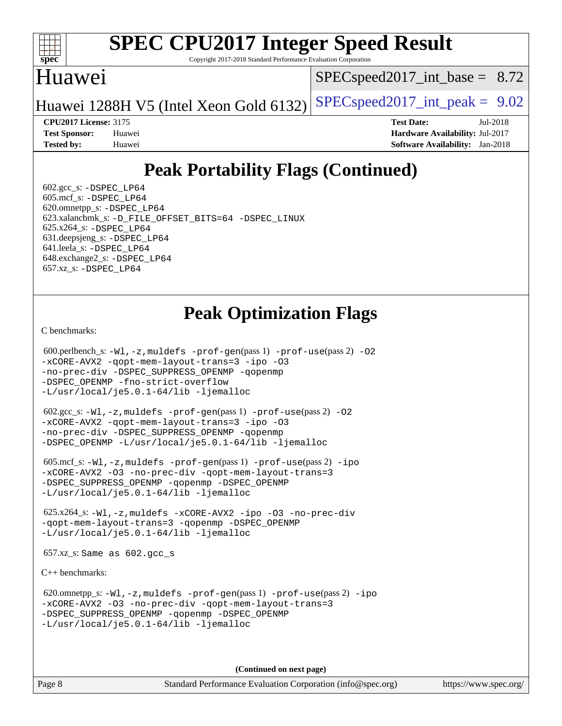

Copyright 2017-2018 Standard Performance Evaluation Corporation

## Huawei

 $SPECspeed2017\_int\_base = 8.72$ 

Huawei 1288H V5 (Intel Xeon Gold 6132) SPECspeed 2017\_int\_peak =  $9.02$ 

**[CPU2017 License:](http://www.spec.org/auto/cpu2017/Docs/result-fields.html#CPU2017License)** 3175 **[Test Date:](http://www.spec.org/auto/cpu2017/Docs/result-fields.html#TestDate)** Jul-2018

**[Test Sponsor:](http://www.spec.org/auto/cpu2017/Docs/result-fields.html#TestSponsor)** Huawei **[Hardware Availability:](http://www.spec.org/auto/cpu2017/Docs/result-fields.html#HardwareAvailability)** Jul-2017 **[Tested by:](http://www.spec.org/auto/cpu2017/Docs/result-fields.html#Testedby)** Huawei **[Software Availability:](http://www.spec.org/auto/cpu2017/Docs/result-fields.html#SoftwareAvailability)** Jan-2018

## **[Peak Portability Flags \(Continued\)](http://www.spec.org/auto/cpu2017/Docs/result-fields.html#PeakPortabilityFlags)**

 $602.\text{gcc}\$ : -DSPEC LP64 605.mcf\_s: [-DSPEC\\_LP64](http://www.spec.org/cpu2017/results/res2018q3/cpu2017-20180731-08025.flags.html#suite_peakPORTABILITY605_mcf_s_DSPEC_LP64) 620.omnetpp\_s: [-DSPEC\\_LP64](http://www.spec.org/cpu2017/results/res2018q3/cpu2017-20180731-08025.flags.html#suite_peakPORTABILITY620_omnetpp_s_DSPEC_LP64) 623.xalancbmk\_s: [-D\\_FILE\\_OFFSET\\_BITS=64](http://www.spec.org/cpu2017/results/res2018q3/cpu2017-20180731-08025.flags.html#user_peakPORTABILITY623_xalancbmk_s_file_offset_bits_64_5ae949a99b284ddf4e95728d47cb0843d81b2eb0e18bdfe74bbf0f61d0b064f4bda2f10ea5eb90e1dcab0e84dbc592acfc5018bc955c18609f94ddb8d550002c) [-DSPEC\\_LINUX](http://www.spec.org/cpu2017/results/res2018q3/cpu2017-20180731-08025.flags.html#b623.xalancbmk_s_peakCXXPORTABILITY_DSPEC_LINUX) 625.x264\_s: [-DSPEC\\_LP64](http://www.spec.org/cpu2017/results/res2018q3/cpu2017-20180731-08025.flags.html#suite_peakPORTABILITY625_x264_s_DSPEC_LP64) 631.deepsjeng\_s: [-DSPEC\\_LP64](http://www.spec.org/cpu2017/results/res2018q3/cpu2017-20180731-08025.flags.html#suite_peakPORTABILITY631_deepsjeng_s_DSPEC_LP64) 641.leela\_s: [-DSPEC\\_LP64](http://www.spec.org/cpu2017/results/res2018q3/cpu2017-20180731-08025.flags.html#suite_peakPORTABILITY641_leela_s_DSPEC_LP64) 648.exchange2\_s: [-DSPEC\\_LP64](http://www.spec.org/cpu2017/results/res2018q3/cpu2017-20180731-08025.flags.html#suite_peakPORTABILITY648_exchange2_s_DSPEC_LP64) 657.xz\_s: [-DSPEC\\_LP64](http://www.spec.org/cpu2017/results/res2018q3/cpu2017-20180731-08025.flags.html#suite_peakPORTABILITY657_xz_s_DSPEC_LP64)

## **[Peak Optimization Flags](http://www.spec.org/auto/cpu2017/Docs/result-fields.html#PeakOptimizationFlags)**

[C benchmarks](http://www.spec.org/auto/cpu2017/Docs/result-fields.html#Cbenchmarks):

```
(info@spec.org)https://www.spec.org/
  600.perlbench_s: -Wl,-z,muldefs -prof-gen(pass 1) -prof-use(pass 2) -O2
-xCORE-AVX2 -qopt-mem-layout-trans=3 -ipo -O3
-no-prec-div -DSPEC_SUPPRESS_OPENMP -qopenmp
-DSPEC_OPENMP -fno-strict-overflow
-L/usr/local/je5.0.1-64/lib -ljemalloc
  602.gcc_s: -Wl,-z,muldefs -prof-gen(pass 1) -prof-use(pass 2) -O2
-xCORE-AVX2 -qopt-mem-layout-trans=3 -ipo -O3
-no-prec-div -DSPEC_SUPPRESS_OPENMP -qopenmp
-DSPEC_OPENMP -L/usr/local/je5.0.1-64/lib -ljemalloc
  605.mcf_s: -Wl,-z,muldefs -prof-gen(pass 1) -prof-use(pass 2) -ipo
-xCORE-AVX2 -O3 -no-prec-div -qopt-mem-layout-trans=3
-DSPEC_SUPPRESS_OPENMP -qopenmp -DSPEC_OPENMP
-L/usr/local/je5.0.1-64/lib -ljemalloc
  625.x264_s: -Wl,-z,muldefs -xCORE-AVX2 -ipo -O3 -no-prec-div
-qopt-mem-layout-trans=3 -qopenmp -DSPEC_OPENMP
-L/usr/local/je5.0.1-64/lib -ljemalloc
  657.xz_s: Same as 602.gcc_s
C++ benchmarks: 
  620.omnetpp_s: -Wl,-z,muldefs -prof-gen(pass 1) -prof-use(pass 2) -ipo
-xCORE-AVX2 -O3 -no-prec-div -qopt-mem-layout-trans=3
-DSPEC_SUPPRESS_OPENMP -qopenmp -DSPEC_OPENMP
-L/usr/local/je5.0.1-64/lib -ljemalloc
                                    (Continued on next page)
```